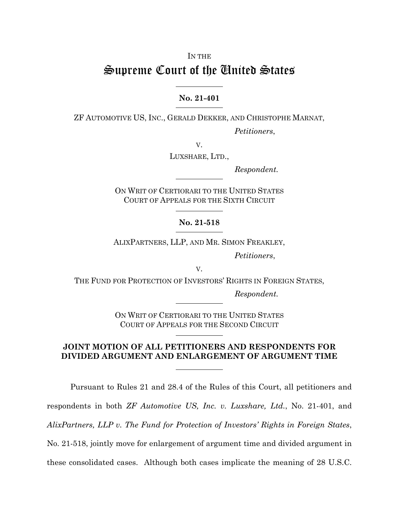## IN THE

## Supreme Court of the United States

## **No. 21-401**

 $\overline{a}$ 

ZF AUTOMOTIVE US, INC., GERALD DEKKER, AND CHRISTOPHE MARNAT,

*Petitioners*,

V.

LUXSHARE, LTD.,

*Respondent.* 

ON WRIT OF CERTIORARI TO THE UNITED STATES COURT OF APPEALS FOR THE SIXTH CIRCUIT  $\overline{a}$ 

**No. 21-518** 

 $\overline{a}$ 

ALIXPARTNERS, LLP, AND MR. SIMON FREAKLEY,

*Petitioners*,

V.

THE FUND FOR PROTECTION OF INVESTORS' RIGHTS IN FOREIGN STATES,

*Respondent.* 

ON WRIT OF CERTIORARI TO THE UNITED STATES COURT OF APPEALS FOR THE SECOND CIRCUIT  $\overline{a}$ 

## **JOINT MOTION OF ALL PETITIONERS AND RESPONDENTS FOR DIVIDED ARGUMENT AND ENLARGEMENT OF ARGUMENT TIME**

 $\overline{a}$ 

Pursuant to Rules 21 and 28.4 of the Rules of this Court, all petitioners and respondents in both *ZF Automotive US, Inc. v. Luxshare, Ltd.*, No. 21-401, and *AlixPartners, LLP v. The Fund for Protection of Investors' Rights in Foreign States*, No. 21-518, jointly move for enlargement of argument time and divided argument in these consolidated cases. Although both cases implicate the meaning of 28 U.S.C.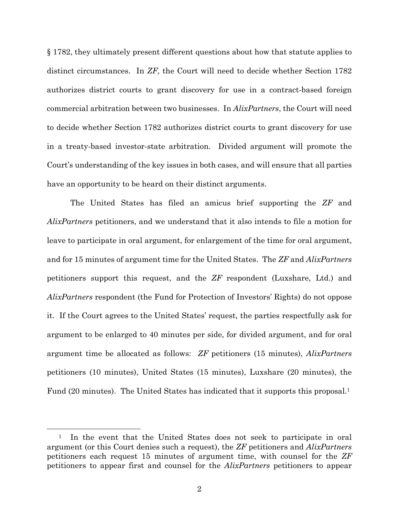§ 1782, they ultimately present different questions about how that statute applies to distinct circumstances. In *ZF*, the Court will need to decide whether Section 1782 authorizes district courts to grant discovery for use in a contract-based foreign commercial arbitration between two businesses. In *AlixPartners*, the Court will need to decide whether Section 1782 authorizes district courts to grant discovery for use in a treaty-based investor-state arbitration. Divided argument will promote the Court's understanding of the key issues in both cases, and will ensure that all parties have an opportunity to be heard on their distinct arguments.

The United States has filed an amicus brief supporting the *ZF* and *AlixPartners* petitioners, and we understand that it also intends to file a motion for leave to participate in oral argument, for enlargement of the time for oral argument, and for 15 minutes of argument time for the United States. The *ZF* and *AlixPartners* petitioners support this request, and the *ZF* respondent (Luxshare, Ltd.) and *AlixPartners* respondent (the Fund for Protection of Investors' Rights) do not oppose it. If the Court agrees to the United States' request, the parties respectfully ask for argument to be enlarged to 40 minutes per side, for divided argument, and for oral argument time be allocated as follows: *ZF* petitioners (15 minutes), *AlixPartners* petitioners (10 minutes), United States (15 minutes), Luxshare (20 minutes), the Fund (20 minutes). The United States has indicated that it supports this proposal.<sup>1</sup>

<sup>&</sup>lt;sup>1</sup> In the event that the United States does not seek to participate in oral argument (or this Court denies such a request), the *ZF* petitioners and *AlixPartners* petitioners each request 15 minutes of argument time, with counsel for the *ZF* petitioners to appear first and counsel for the *AlixPartners* petitioners to appear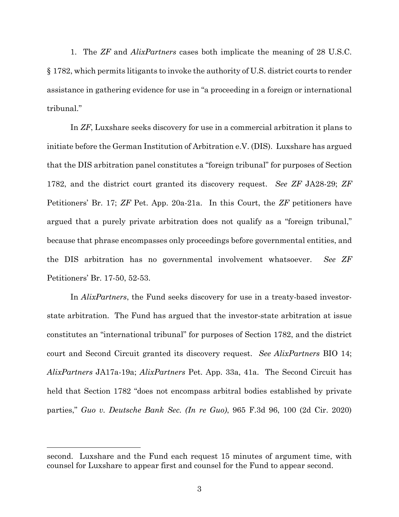1. The *ZF* and *AlixPartners* cases both implicate the meaning of 28 U.S.C. § 1782, which permits litigants to invoke the authority of U.S. district courts to render assistance in gathering evidence for use in "a proceeding in a foreign or international tribunal."

In *ZF*, Luxshare seeks discovery for use in a commercial arbitration it plans to initiate before the German Institution of Arbitration e.V. (DIS). Luxshare has argued that the DIS arbitration panel constitutes a "foreign tribunal" for purposes of Section 1782, and the district court granted its discovery request. *See ZF* JA28-29; *ZF*  Petitioners' Br. 17; *ZF* Pet. App. 20a-21a. In this Court, the *ZF* petitioners have argued that a purely private arbitration does not qualify as a "foreign tribunal," because that phrase encompasses only proceedings before governmental entities, and the DIS arbitration has no governmental involvement whatsoever. *See ZF*  Petitioners' Br. 17-50, 52-53.

In *AlixPartners*, the Fund seeks discovery for use in a treaty-based investorstate arbitration. The Fund has argued that the investor-state arbitration at issue constitutes an "international tribunal" for purposes of Section 1782, and the district court and Second Circuit granted its discovery request. *See AlixPartners* BIO 14; *AlixPartners* JA17a-19a; *AlixPartners* Pet. App. 33a, 41a. The Second Circuit has held that Section 1782 "does not encompass arbitral bodies established by private parties," *Guo v. Deutsche Bank Sec. (In re Guo)*, 965 F.3d 96, 100 (2d Cir. 2020)

 $\overline{a}$ 

second. Luxshare and the Fund each request 15 minutes of argument time, with counsel for Luxshare to appear first and counsel for the Fund to appear second.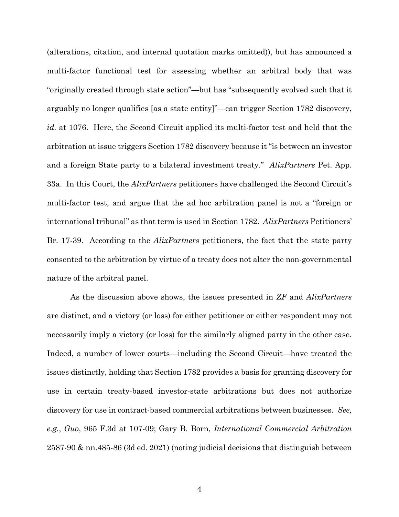(alterations, citation, and internal quotation marks omitted)), but has announced a multi-factor functional test for assessing whether an arbitral body that was "originally created through state action"—but has "subsequently evolved such that it arguably no longer qualifies [as a state entity]"—can trigger Section 1782 discovery, *id.* at 1076. Here, the Second Circuit applied its multi-factor test and held that the arbitration at issue triggers Section 1782 discovery because it "is between an investor and a foreign State party to a bilateral investment treaty." *AlixPartners* Pet. App. 33a. In this Court, the *AlixPartners* petitioners have challenged the Second Circuit's multi-factor test, and argue that the ad hoc arbitration panel is not a "foreign or international tribunal" as that term is used in Section 1782. *AlixPartners* Petitioners' Br. 17-39. According to the *AlixPartners* petitioners, the fact that the state party consented to the arbitration by virtue of a treaty does not alter the non-governmental nature of the arbitral panel.

As the discussion above shows, the issues presented in *ZF* and *AlixPartners* are distinct, and a victory (or loss) for either petitioner or either respondent may not necessarily imply a victory (or loss) for the similarly aligned party in the other case. Indeed, a number of lower courts—including the Second Circuit—have treated the issues distinctly, holding that Section 1782 provides a basis for granting discovery for use in certain treaty-based investor-state arbitrations but does not authorize discovery for use in contract-based commercial arbitrations between businesses. *See, e.g.*, *Guo*, 965 F.3d at 107-09; Gary B. Born, *International Commercial Arbitration*  2587-90 & nn.485-86 (3d ed. 2021) (noting judicial decisions that distinguish between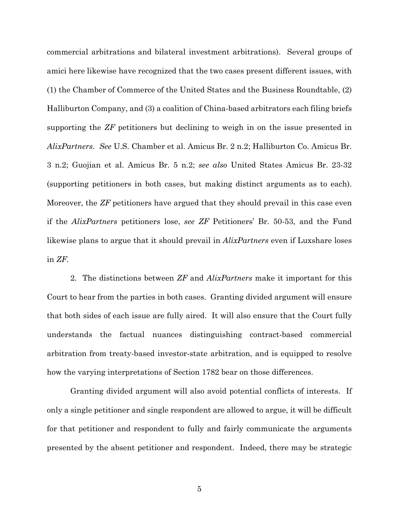commercial arbitrations and bilateral investment arbitrations). Several groups of amici here likewise have recognized that the two cases present different issues, with (1) the Chamber of Commerce of the United States and the Business Roundtable, (2) Halliburton Company, and (3) a coalition of China-based arbitrators each filing briefs supporting the *ZF* petitioners but declining to weigh in on the issue presented in *AlixPartners*. *See* U.S. Chamber et al. Amicus Br. 2 n.2; Halliburton Co. Amicus Br. 3 n.2; Guojian et al. Amicus Br. 5 n.2; *see also* United States Amicus Br. 23-32 (supporting petitioners in both cases, but making distinct arguments as to each). Moreover, the *ZF* petitioners have argued that they should prevail in this case even if the *AlixPartners* petitioners lose, *see ZF* Petitioners' Br. 50-53, and the Fund likewise plans to argue that it should prevail in *AlixPartners* even if Luxshare loses in *ZF*.

2. The distinctions between *ZF* and *AlixPartners* make it important for this Court to hear from the parties in both cases. Granting divided argument will ensure that both sides of each issue are fully aired. It will also ensure that the Court fully understands the factual nuances distinguishing contract-based commercial arbitration from treaty-based investor-state arbitration, and is equipped to resolve how the varying interpretations of Section 1782 bear on those differences.

Granting divided argument will also avoid potential conflicts of interests. If only a single petitioner and single respondent are allowed to argue, it will be difficult for that petitioner and respondent to fully and fairly communicate the arguments presented by the absent petitioner and respondent. Indeed, there may be strategic

5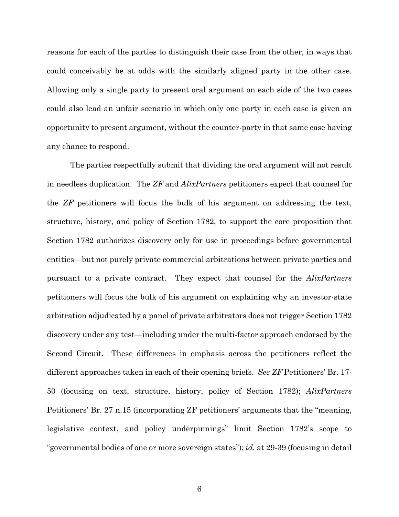reasons for each of the parties to distinguish their case from the other, in ways that could conceivably be at odds with the similarly aligned party in the other case. Allowing only a single party to present oral argument on each side of the two cases could also lead an unfair scenario in which only one party in each case is given an opportunity to present argument, without the counter-party in that same case having any chance to respond.

The parties respectfully submit that dividing the oral argument will not result in needless duplication. The *ZF* and *AlixPartners* petitioners expect that counsel for the *ZF* petitioners will focus the bulk of his argument on addressing the text, structure, history, and policy of Section 1782, to support the core proposition that Section 1782 authorizes discovery only for use in proceedings before governmental entities—but not purely private commercial arbitrations between private parties and pursuant to a private contract. They expect that counsel for the *AlixPartners* petitioners will focus the bulk of his argument on explaining why an investor-state arbitration adjudicated by a panel of private arbitrators does not trigger Section 1782 discovery under any test—including under the multi-factor approach endorsed by the Second Circuit. These differences in emphasis across the petitioners reflect the different approaches taken in each of their opening briefs. *See ZF* Petitioners' Br. 17- 50 (focusing on text, structure, history, policy of Section 1782); *AlixPartners* Petitioners' Br. 27 n.15 (incorporating ZF petitioners' arguments that the "meaning, legislative context, and policy underpinnings" limit Section 1782's scope to "governmental bodies of one or more sovereign states"); *id.* at 29-39 (focusing in detail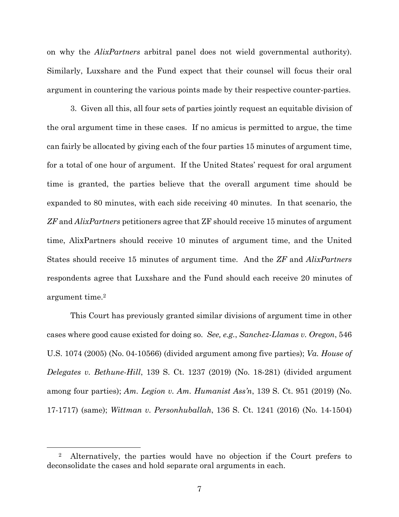on why the *AlixPartners* arbitral panel does not wield governmental authority). Similarly, Luxshare and the Fund expect that their counsel will focus their oral argument in countering the various points made by their respective counter-parties.

3. Given all this, all four sets of parties jointly request an equitable division of the oral argument time in these cases. If no amicus is permitted to argue, the time can fairly be allocated by giving each of the four parties 15 minutes of argument time, for a total of one hour of argument. If the United States' request for oral argument time is granted, the parties believe that the overall argument time should be expanded to 80 minutes, with each side receiving 40 minutes. In that scenario, the *ZF* and *AlixPartners* petitioners agree that ZF should receive 15 minutes of argument time, AlixPartners should receive 10 minutes of argument time, and the United States should receive 15 minutes of argument time. And the *ZF* and *AlixPartners* respondents agree that Luxshare and the Fund should each receive 20 minutes of argument time.2

This Court has previously granted similar divisions of argument time in other cases where good cause existed for doing so. *See, e.g.*, *Sanchez-Llamas v. Oregon*, 546 U.S. 1074 (2005) (No. 04-10566) (divided argument among five parties); *Va. House of Delegates v. Bethune-Hill*, 139 S. Ct. 1237 (2019) (No. 18-281) (divided argument among four parties); *Am. Legion v. Am. Humanist Ass'n*, 139 S. Ct. 951 (2019) (No. 17-1717) (same); *Wittman v. Personhuballah*, 136 S. Ct. 1241 (2016) (No. 14-1504)

 <sup>2</sup> Alternatively, the parties would have no objection if the Court prefers to deconsolidate the cases and hold separate oral arguments in each.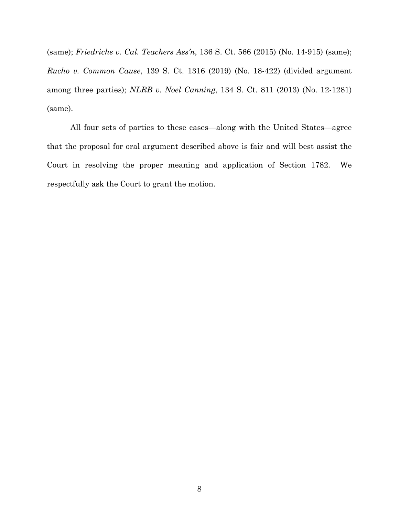(same); *Friedrichs v. Cal. Teachers Ass'n*, 136 S. Ct. 566 (2015) (No. 14-915) (same); *Rucho v. Common Cause*, 139 S. Ct. 1316 (2019) (No. 18-422) (divided argument among three parties); *NLRB v. Noel Canning*, 134 S. Ct. 811 (2013) (No. 12-1281) (same).

All four sets of parties to these cases—along with the United States—agree that the proposal for oral argument described above is fair and will best assist the Court in resolving the proper meaning and application of Section 1782. We respectfully ask the Court to grant the motion.